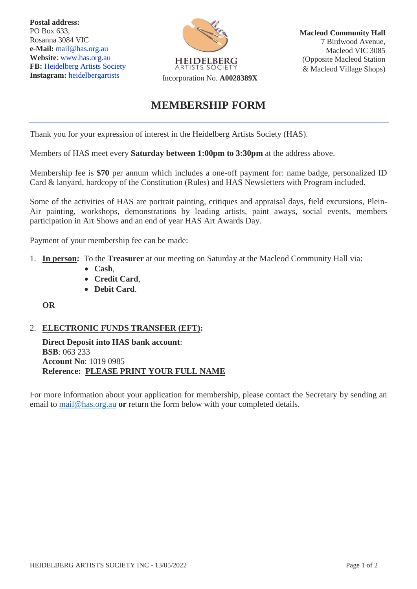**Postal address:** PO Box 633, Rosanna 3084 VIC **e-Mail:** mail@has.org.au **Website**: [www.has.org.au](http://www.has.org.au/) FB: Heidelberg Artists Society<br>Instagram: heidelbergartists



## **MEMBERSHIP FORM**

Thank you for your expression of interest in the Heidelberg Artists Society (HAS).

Members of HAS meet every **Saturday between 1:00pm to 3:30pm** at the address above.

Membership fee is **\$70** per annum which includes a one-off payment for: name badge, personalized ID Card & lanyard, hardcopy of the Constitution (Rules) and HAS Newsletters with Program included.

Some of the activities of HAS are portrait painting, critiques and appraisal days, field excursions, Plein-Air painting, workshops, demonstrations by leading artists, paint aways, social events, members participation in Art Shows and an end of year HAS Art Awards Day.

Payment of your membership fee can be made:

- 1. **In person:** To the **Treasurer** at our meeting on Saturday at the Macleod Community Hall via:
	- **Cash**,
	- **Credit Card**,
	- **Debit Card**.

**OR**

### 2. **ELECTRONIC FUNDS TRANSFER (EFT):**

**Direct Deposit into HAS bank account**: **BSB**: 063 233 **Account No**: 1019 0985 **Reference: PLEASE PRINT YOUR FULL NAME**

For more information about your application for membership, please contact the Secretary by sending an email to [mail@has.org.au](mailto:mail@has.org.au) **or** return the form below with your completed details.